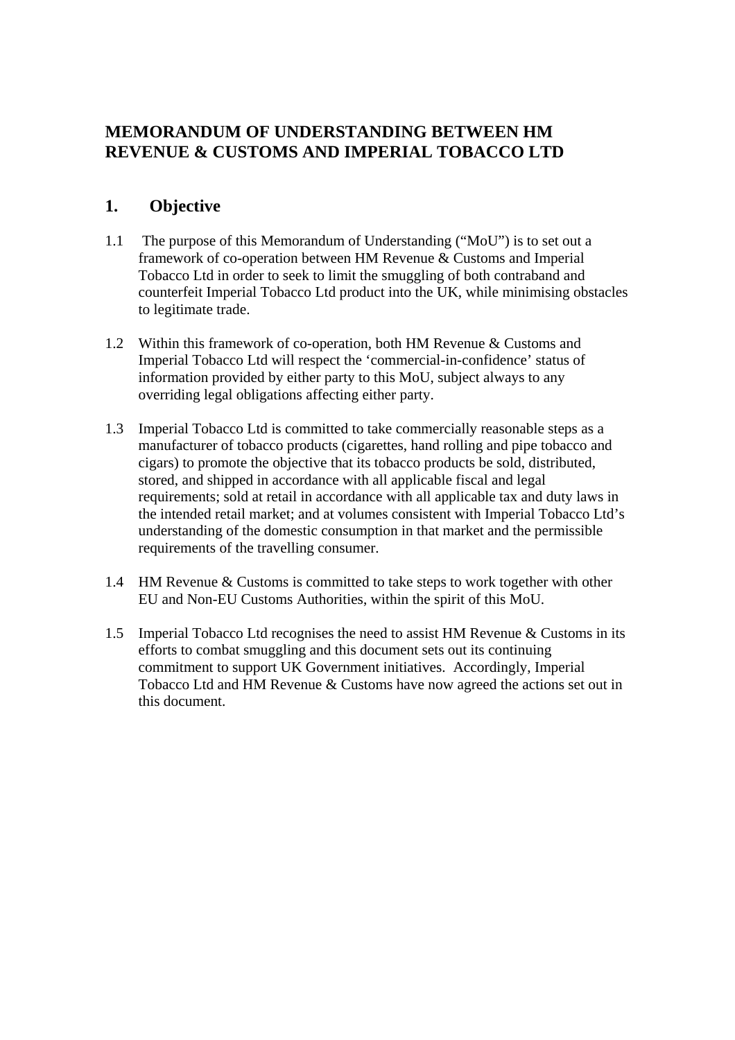# **MEMORANDUM OF UNDERSTANDING BETWEEN HM REVENUE & CUSTOMS AND IMPERIAL TOBACCO LTD**

# **1. Objective**

- 1.1 The purpose of this Memorandum of Understanding ("MoU") is to set out a framework of co-operation between HM Revenue & Customs and Imperial Tobacco Ltd in order to seek to limit the smuggling of both contraband and counterfeit Imperial Tobacco Ltd product into the UK, while minimising obstacles to legitimate trade.
- 1.2 Within this framework of co-operation, both HM Revenue & Customs and Imperial Tobacco Ltd will respect the 'commercial-in-confidence' status of information provided by either party to this MoU, subject always to any overriding legal obligations affecting either party.
- 1.3 Imperial Tobacco Ltd is committed to take commercially reasonable steps as a manufacturer of tobacco products (cigarettes, hand rolling and pipe tobacco and cigars) to promote the objective that its tobacco products be sold, distributed, stored, and shipped in accordance with all applicable fiscal and legal requirements; sold at retail in accordance with all applicable tax and duty laws in the intended retail market; and at volumes consistent with Imperial Tobacco Ltd's understanding of the domestic consumption in that market and the permissible requirements of the travelling consumer.
- 1.4 HM Revenue & Customs is committed to take steps to work together with other EU and Non-EU Customs Authorities, within the spirit of this MoU.
- 1.5 Imperial Tobacco Ltd recognises the need to assist HM Revenue & Customs in its efforts to combat smuggling and this document sets out its continuing commitment to support UK Government initiatives. Accordingly, Imperial Tobacco Ltd and HM Revenue & Customs have now agreed the actions set out in this document.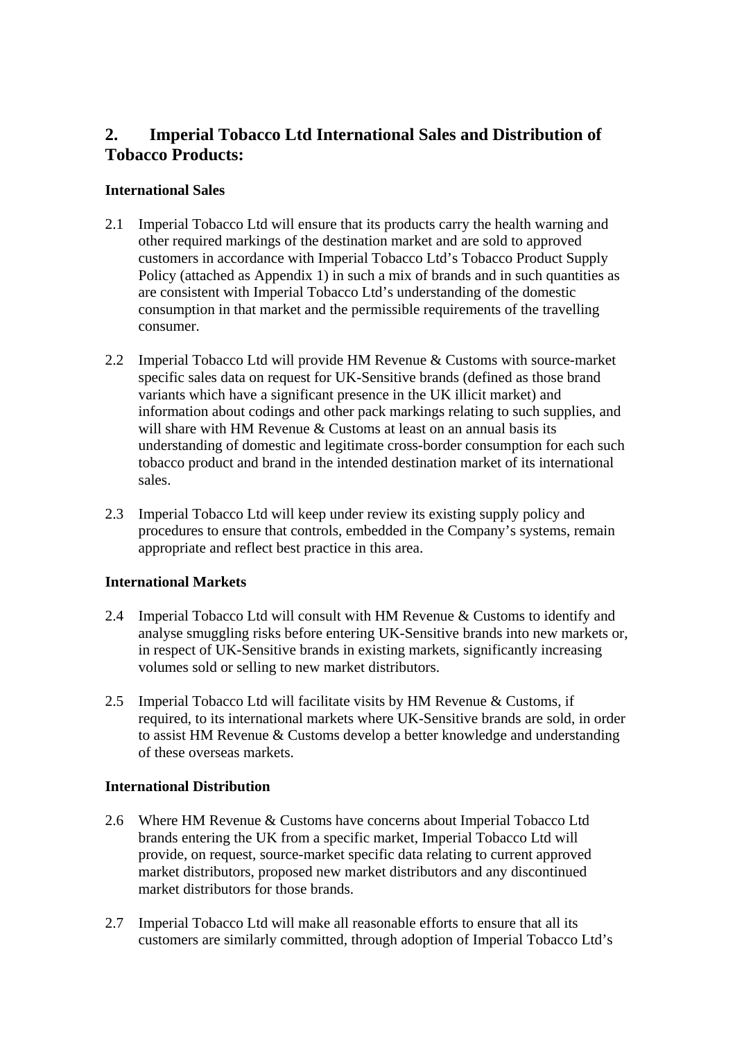# **2. Imperial Tobacco Ltd International Sales and Distribution of Tobacco Products:**

### **International Sales**

- 2.1 Imperial Tobacco Ltd will ensure that its products carry the health warning and other required markings of the destination market and are sold to approved customers in accordance with Imperial Tobacco Ltd's Tobacco Product Supply Policy (attached as Appendix 1) in such a mix of brands and in such quantities as are consistent with Imperial Tobacco Ltd's understanding of the domestic consumption in that market and the permissible requirements of the travelling consumer.
- 2.2 Imperial Tobacco Ltd will provide HM Revenue & Customs with source-market specific sales data on request for UK-Sensitive brands (defined as those brand variants which have a significant presence in the UK illicit market) and information about codings and other pack markings relating to such supplies, and will share with HM Revenue & Customs at least on an annual basis its understanding of domestic and legitimate cross-border consumption for each such tobacco product and brand in the intended destination market of its international sales.
- 2.3 Imperial Tobacco Ltd will keep under review its existing supply policy and procedures to ensure that controls, embedded in the Company's systems, remain appropriate and reflect best practice in this area.

### **International Markets**

- 2.4 Imperial Tobacco Ltd will consult with HM Revenue & Customs to identify and analyse smuggling risks before entering UK-Sensitive brands into new markets or, in respect of UK-Sensitive brands in existing markets, significantly increasing volumes sold or selling to new market distributors.
- 2.5 Imperial Tobacco Ltd will facilitate visits by HM Revenue & Customs, if required, to its international markets where UK-Sensitive brands are sold, in order to assist HM Revenue & Customs develop a better knowledge and understanding of these overseas markets.

### **International Distribution**

- 2.6 Where HM Revenue & Customs have concerns about Imperial Tobacco Ltd brands entering the UK from a specific market, Imperial Tobacco Ltd will provide, on request, source-market specific data relating to current approved market distributors, proposed new market distributors and any discontinued market distributors for those brands.
- 2.7 Imperial Tobacco Ltd will make all reasonable efforts to ensure that all its customers are similarly committed, through adoption of Imperial Tobacco Ltd's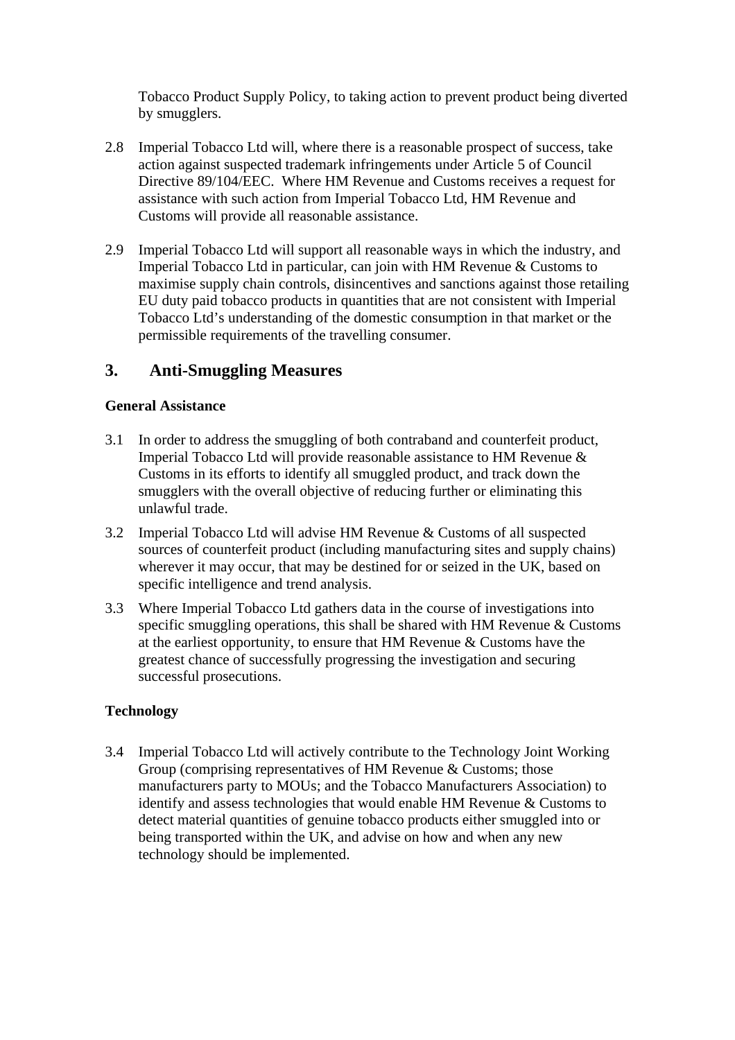Tobacco Product Supply Policy, to taking action to prevent product being diverted by smugglers.

- 2.8 Imperial Tobacco Ltd will, where there is a reasonable prospect of success, take action against suspected trademark infringements under Article 5 of Council Directive 89/104/EEC. Where HM Revenue and Customs receives a request for assistance with such action from Imperial Tobacco Ltd, HM Revenue and Customs will provide all reasonable assistance.
- 2.9 Imperial Tobacco Ltd will support all reasonable ways in which the industry, and Imperial Tobacco Ltd in particular, can join with HM Revenue & Customs to maximise supply chain controls, disincentives and sanctions against those retailing EU duty paid tobacco products in quantities that are not consistent with Imperial Tobacco Ltd's understanding of the domestic consumption in that market or the permissible requirements of the travelling consumer.

# **3. Anti-Smuggling Measures**

## **General Assistance**

- 3.1 In order to address the smuggling of both contraband and counterfeit product, Imperial Tobacco Ltd will provide reasonable assistance to HM Revenue & Customs in its efforts to identify all smuggled product, and track down the smugglers with the overall objective of reducing further or eliminating this unlawful trade.
- 3.2 Imperial Tobacco Ltd will advise HM Revenue & Customs of all suspected sources of counterfeit product (including manufacturing sites and supply chains) wherever it may occur, that may be destined for or seized in the UK, based on specific intelligence and trend analysis.
- 3.3 Where Imperial Tobacco Ltd gathers data in the course of investigations into specific smuggling operations, this shall be shared with HM Revenue & Customs at the earliest opportunity, to ensure that HM Revenue & Customs have the greatest chance of successfully progressing the investigation and securing successful prosecutions.

## **Technology**

3.4 Imperial Tobacco Ltd will actively contribute to the Technology Joint Working Group (comprising representatives of HM Revenue & Customs; those manufacturers party to MOUs; and the Tobacco Manufacturers Association) to identify and assess technologies that would enable HM Revenue & Customs to detect material quantities of genuine tobacco products either smuggled into or being transported within the UK, and advise on how and when any new technology should be implemented.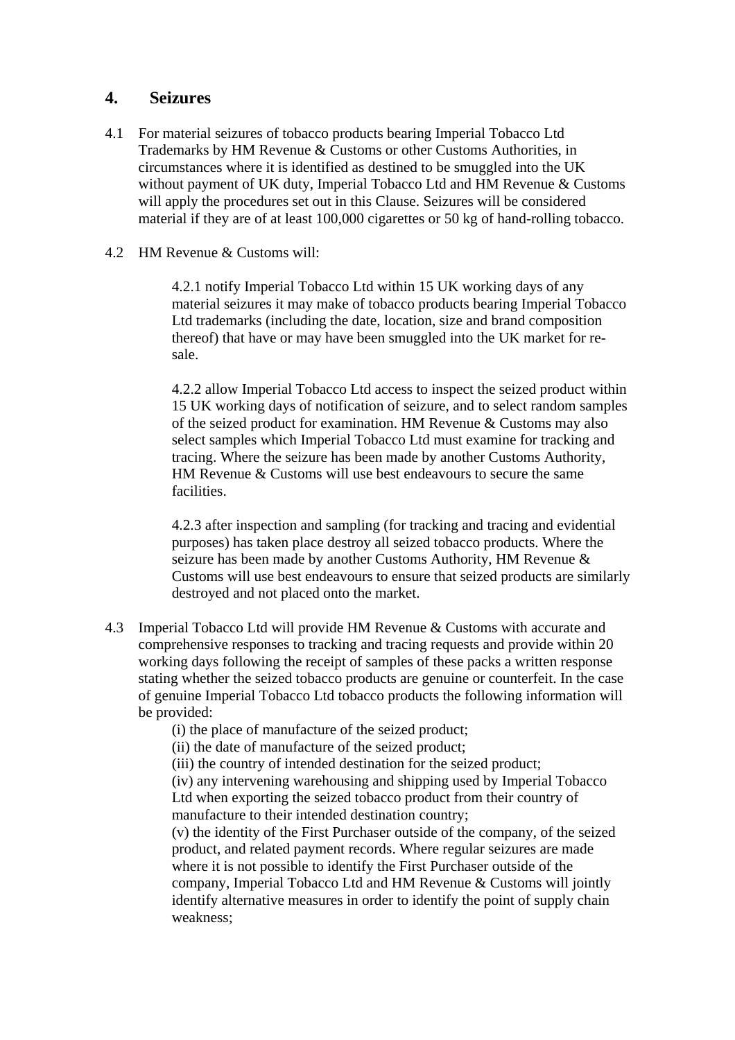## **4. Seizures**

4.1 For material seizures of tobacco products bearing Imperial Tobacco Ltd Trademarks by HM Revenue & Customs or other Customs Authorities, in circumstances where it is identified as destined to be smuggled into the UK without payment of UK duty, Imperial Tobacco Ltd and HM Revenue & Customs will apply the procedures set out in this Clause. Seizures will be considered material if they are of at least 100,000 cigarettes or 50 kg of hand-rolling tobacco.

#### 4.2 HM Revenue & Customs will:

4.2.1 notify Imperial Tobacco Ltd within 15 UK working days of any material seizures it may make of tobacco products bearing Imperial Tobacco Ltd trademarks (including the date, location, size and brand composition thereof) that have or may have been smuggled into the UK market for resale.

4.2.2 allow Imperial Tobacco Ltd access to inspect the seized product within 15 UK working days of notification of seizure, and to select random samples of the seized product for examination. HM Revenue & Customs may also select samples which Imperial Tobacco Ltd must examine for tracking and tracing. Where the seizure has been made by another Customs Authority, HM Revenue & Customs will use best endeavours to secure the same facilities.

4.2.3 after inspection and sampling (for tracking and tracing and evidential purposes) has taken place destroy all seized tobacco products. Where the seizure has been made by another Customs Authority, HM Revenue & Customs will use best endeavours to ensure that seized products are similarly destroyed and not placed onto the market.

4.3 Imperial Tobacco Ltd will provide HM Revenue & Customs with accurate and comprehensive responses to tracking and tracing requests and provide within 20 working days following the receipt of samples of these packs a written response stating whether the seized tobacco products are genuine or counterfeit. In the case of genuine Imperial Tobacco Ltd tobacco products the following information will be provided:

(i) the place of manufacture of the seized product;

(ii) the date of manufacture of the seized product;

(iii) the country of intended destination for the seized product;

(iv) any intervening warehousing and shipping used by Imperial Tobacco Ltd when exporting the seized tobacco product from their country of manufacture to their intended destination country;

(v) the identity of the First Purchaser outside of the company, of the seized product, and related payment records. Where regular seizures are made where it is not possible to identify the First Purchaser outside of the company, Imperial Tobacco Ltd and HM Revenue & Customs will jointly identify alternative measures in order to identify the point of supply chain weakness;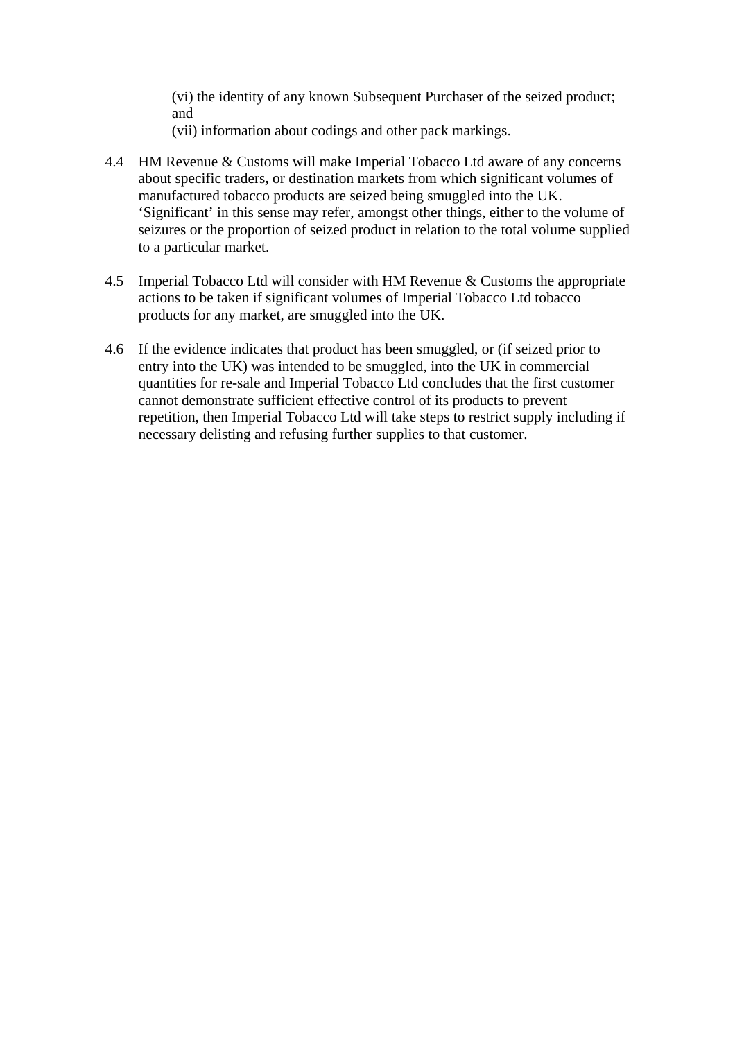(vi) the identity of any known Subsequent Purchaser of the seized product; and

- (vii) information about codings and other pack markings.
- 4.4 HM Revenue & Customs will make Imperial Tobacco Ltd aware of any concerns about specific traders**,** or destination markets from which significant volumes of manufactured tobacco products are seized being smuggled into the UK. 'Significant' in this sense may refer, amongst other things, either to the volume of seizures or the proportion of seized product in relation to the total volume supplied to a particular market.
- 4.5 Imperial Tobacco Ltd will consider with HM Revenue & Customs the appropriate actions to be taken if significant volumes of Imperial Tobacco Ltd tobacco products for any market, are smuggled into the UK.
- 4.6 If the evidence indicates that product has been smuggled, or (if seized prior to entry into the UK) was intended to be smuggled, into the UK in commercial quantities for re-sale and Imperial Tobacco Ltd concludes that the first customer cannot demonstrate sufficient effective control of its products to prevent repetition, then Imperial Tobacco Ltd will take steps to restrict supply including if necessary delisting and refusing further supplies to that customer.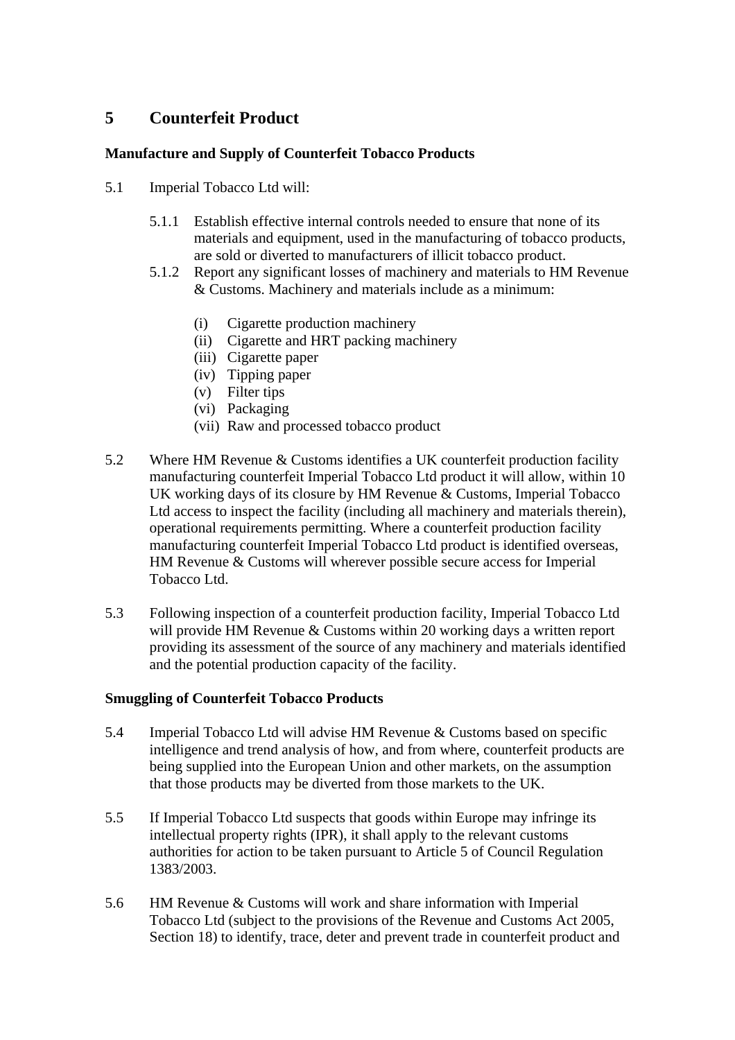# **5 Counterfeit Product**

### **Manufacture and Supply of Counterfeit Tobacco Products**

- 5.1 Imperial Tobacco Ltd will:
	- 5.1.1 Establish effective internal controls needed to ensure that none of its materials and equipment, used in the manufacturing of tobacco products, are sold or diverted to manufacturers of illicit tobacco product.
	- 5.1.2 Report any significant losses of machinery and materials to HM Revenue & Customs. Machinery and materials include as a minimum:
		- (i) Cigarette production machinery
		- (ii) Cigarette and HRT packing machinery
		- (iii) Cigarette paper
		- (iv) Tipping paper
		- (v) Filter tips
		- (vi) Packaging
		- (vii) Raw and processed tobacco product
- 5.2 Where HM Revenue & Customs identifies a UK counterfeit production facility manufacturing counterfeit Imperial Tobacco Ltd product it will allow, within 10 UK working days of its closure by HM Revenue & Customs, Imperial Tobacco Ltd access to inspect the facility (including all machinery and materials therein), operational requirements permitting. Where a counterfeit production facility manufacturing counterfeit Imperial Tobacco Ltd product is identified overseas, HM Revenue & Customs will wherever possible secure access for Imperial Tobacco Ltd.
- 5.3 Following inspection of a counterfeit production facility, Imperial Tobacco Ltd will provide HM Revenue & Customs within 20 working days a written report providing its assessment of the source of any machinery and materials identified and the potential production capacity of the facility.

### **Smuggling of Counterfeit Tobacco Products**

- 5.4 Imperial Tobacco Ltd will advise HM Revenue & Customs based on specific intelligence and trend analysis of how, and from where, counterfeit products are being supplied into the European Union and other markets, on the assumption that those products may be diverted from those markets to the UK.
- 5.5 If Imperial Tobacco Ltd suspects that goods within Europe may infringe its intellectual property rights (IPR), it shall apply to the relevant customs authorities for action to be taken pursuant to Article 5 of Council Regulation 1383/2003.
- 5.6 HM Revenue & Customs will work and share information with Imperial Tobacco Ltd (subject to the provisions of the Revenue and Customs Act 2005, Section 18) to identify, trace, deter and prevent trade in counterfeit product and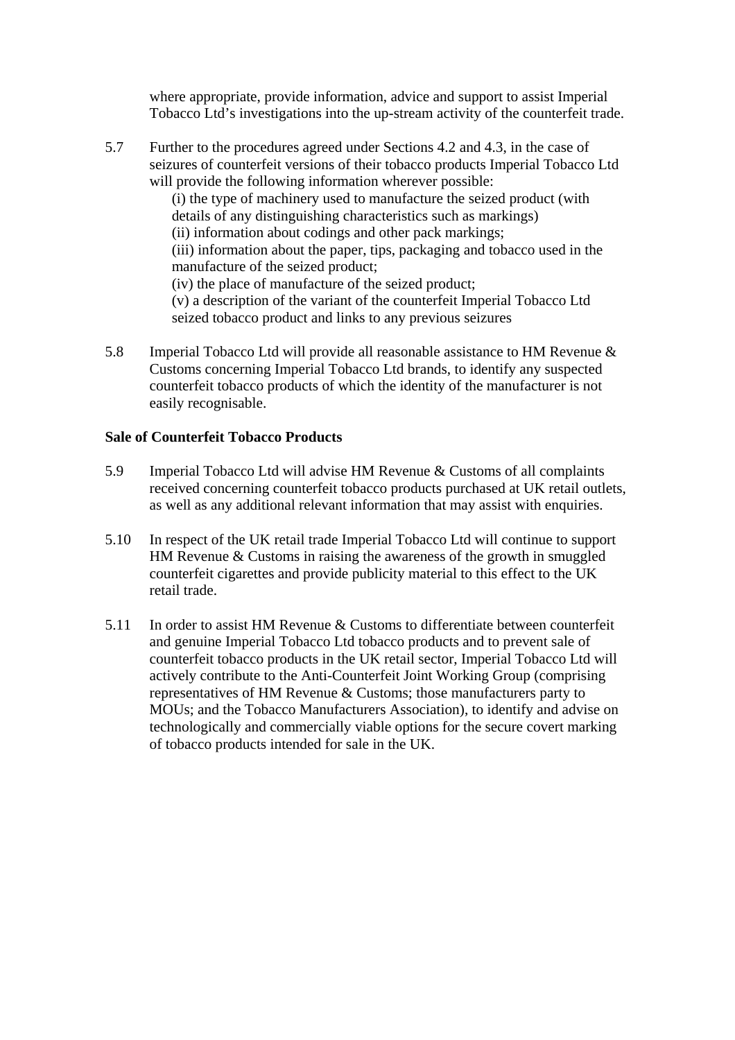where appropriate, provide information, advice and support to assist Imperial Tobacco Ltd's investigations into the up-stream activity of the counterfeit trade.

5.7 Further to the procedures agreed under Sections 4.2 and 4.3, in the case of seizures of counterfeit versions of their tobacco products Imperial Tobacco Ltd will provide the following information wherever possible:

(i) the type of machinery used to manufacture the seized product (with details of any distinguishing characteristics such as markings) (ii) information about codings and other pack markings; (iii) information about the paper, tips, packaging and tobacco used in the manufacture of the seized product; (iv) the place of manufacture of the seized product; (v) a description of the variant of the counterfeit Imperial Tobacco Ltd seized tobacco product and links to any previous seizures

5.8 Imperial Tobacco Ltd will provide all reasonable assistance to HM Revenue & Customs concerning Imperial Tobacco Ltd brands, to identify any suspected counterfeit tobacco products of which the identity of the manufacturer is not easily recognisable.

### **Sale of Counterfeit Tobacco Products**

- 5.9 Imperial Tobacco Ltd will advise HM Revenue & Customs of all complaints received concerning counterfeit tobacco products purchased at UK retail outlets, as well as any additional relevant information that may assist with enquiries.
- 5.10 In respect of the UK retail trade Imperial Tobacco Ltd will continue to support HM Revenue & Customs in raising the awareness of the growth in smuggled counterfeit cigarettes and provide publicity material to this effect to the UK retail trade.
- 5.11 In order to assist HM Revenue & Customs to differentiate between counterfeit and genuine Imperial Tobacco Ltd tobacco products and to prevent sale of counterfeit tobacco products in the UK retail sector, Imperial Tobacco Ltd will actively contribute to the Anti-Counterfeit Joint Working Group (comprising representatives of HM Revenue & Customs; those manufacturers party to MOUs; and the Tobacco Manufacturers Association), to identify and advise on technologically and commercially viable options for the secure covert marking of tobacco products intended for sale in the UK.